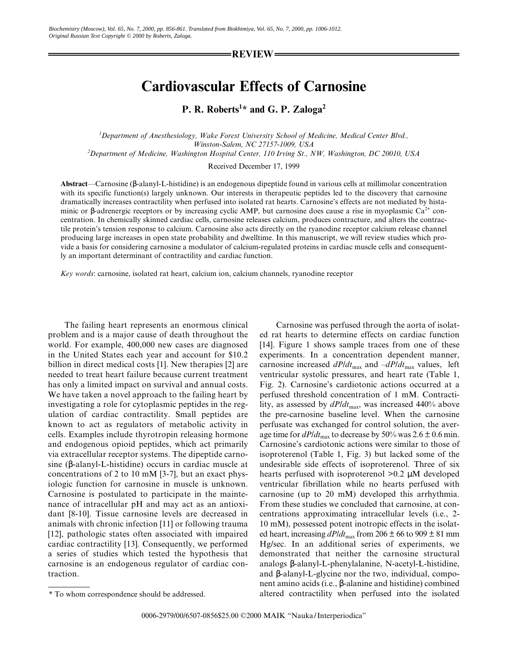REVIEW

## Cardiovascular Effects of Carnosine

P. R. Roberts<sup>1\*</sup> and G. P. Zaloga<sup>2</sup>

<sup>1</sup>Department of Anesthesiology, Wake Forest University School of Medicine, Medical Center Blvd., Winston-Salem, NC 27157-1009, USA 2 Department of Medicine, Washington Hospital Center, 110 Irving St., NW, Washington, DC 20010, USA

Received December 17, 1999

Abstract—Carnosine (β-alanyl-L-histidine) is an endogenous dipeptide found in various cells at millimolar concentration with its specific function(s) largely unknown. Our interests in therapeutic peptides led to the discovery that carnosine dramatically increases contractility when perfused into isolated rat hearts. Carnosine's effects are not mediated by histaminic or β-adrenergic receptors or by increasing cyclic AMP, but carnosine does cause a rise in myoplasmic Ca<sup>2+</sup> concentration. In chemically skinned cardiac cells, carnosine releases calcium, produces contracture, and alters the contractile protein's tension response to calcium. Carnosine also acts directly on the ryanodine receptor calcium release channel producing large increases in open state probability and dwelltime. In this manuscript, we will review studies which provide a basis for considering carnosine a modulator of calcium-regulated proteins in cardiac muscle cells and consequently an important determinant of contractility and cardiac function.

Key words: carnosine, isolated rat heart, calcium ion, calcium channels, ryanodine receptor

The failing heart represents an enormous clinical problem and is a major cause of death throughout the world. For example, 400,000 new cases are diagnosed in the United States each year and account for \$10.2 billion in direct medical costs [1]. New therapies [2] are needed to treat heart failure because current treatment has only a limited impact on survival and annual costs. We have taken a novel approach to the failing heart by investigating a role for cytoplasmic peptides in the regulation of cardiac contractility. Small peptides are known to act as regulators of metabolic activity in cells. Examples include thyrotropin releasing hormone and endogenous opioid peptides, which act primarily via extracellular receptor systems. The dipeptide carnosine (β-alanyl-L-histidine) occurs in cardiac muscle at concentrations of 2 to 10 mM [3-7], but an exact physiologic function for carnosine in muscle is unknown. Carnosine is postulated to participate in the maintenance of intracellular pH and may act as an antioxidant [8-10]. Tissue carnosine levels are decreased in animals with chronic infection [11] or following trauma [12], pathologic states often associated with impaired cardiac contractility [13]. Consequently, we performed a series of studies which tested the hypothesis that carnosine is an endogenous regulator of cardiac contraction.

Carnosine was perfused through the aorta of isolated rat hearts to determine effects on cardiac function [14]. Figure 1 shows sample traces from one of these experiments. In a concentration dependent manner, carnosine increased  $dP/dt_{\text{max}}$  and  $-dP/dt_{\text{max}}$  values, left ventricular systolic pressures, and heart rate (Table 1, Fig. 2). Carnosine's cardiotonic actions occurred at a perfused threshold concentration of 1 mM. Contractility, as assessed by  $dP/dt_{\text{max}}$ , was increased 440% above the pre-carnosine baseline level. When the carnosine perfusate was exchanged for control solution, the average time for  $dP/dt_{\text{max}}$  to decrease by 50% was 2.6  $\pm$  0.6 min. Carnosine's cardiotonic actions were similar to those of isoproterenol (Table 1, Fig. 3) but lacked some of the undesirable side effects of isoproterenol. Three of six hearts perfused with isoproterenol >0.2 µM developed ventricular fibrillation while no hearts perfused with carnosine (up to 20 mM) developed this arrhythmia. From these studies we concluded that carnosine, at concentrations approximating intracellular levels (i.e., 2- 10 mM), possessed potent inotropic effects in the isolated heart, increasing  $dP/dt_{\text{max}}$  from 206  $\pm$  66 to 909  $\pm$  81 mm Hg/sec. In an additional series of experiments, we demonstrated that neither the carnosine structural analogs β-alanyl-L-phenylalanine, N-acetyl-L-histidine, and β-alanyl-L-glycine nor the two, individual, component amino acids (i.e., β-alanine and histidine) combined altered contractility when perfused into the isolated

<sup>\*</sup> To whom correspondence should be addressed.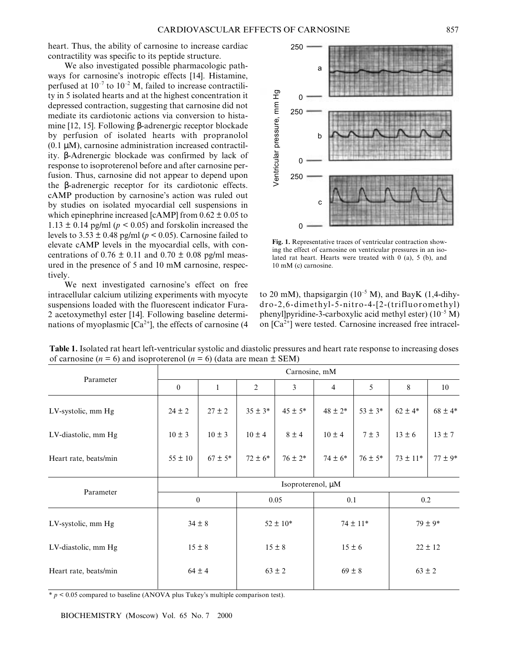heart. Thus, the ability of carnosine to increase cardiac contractility was specific to its peptide structure.

We also investigated possible pharmacologic pathways for carnosine's inotropic effects [14]. Histamine, perfused at  $10^{-7}$  to  $10^{-2}$  M, failed to increase contractility in 5 isolated hearts and at the highest concentration it depressed contraction, suggesting that carnosine did not mediate its cardiotonic actions via conversion to histamine [12, 15]. Following β-adrenergic receptor blockade by perfusion of isolated hearts with propranolol  $(0.1 \mu M)$ , carnosine administration increased contractility. β-Adrenergic blockade was confirmed by lack of response to isoproterenol before and after carnosine perfusion. Thus, carnosine did not appear to depend upon the β-adrenergic receptor for its cardiotonic effects. cAMP production by carnosine's action was ruled out by studies on isolated myocardial cell suspensions in which epinephrine increased [cAMP] from  $0.62 \pm 0.05$  to  $1.13 \pm 0.14$  pg/ml ( $p \le 0.05$ ) and forskolin increased the levels to  $3.53 \pm 0.48$  pg/ml ( $p < 0.05$ ). Carnosine failed to elevate cAMP levels in the myocardial cells, with concentrations of  $0.76 \pm 0.11$  and  $0.70 \pm 0.08$  pg/ml measured in the presence of 5 and 10 mM carnosine, respectively.

We next investigated carnosine's effect on free intracellular calcium utilizing experiments with myocyte suspensions loaded with the fluorescent indicator Fura-2 acetoxymethyl ester [14]. Following baseline determinations of myoplasmic  $[Ca^{2+}]$ , the effects of carnosine (4)



Fig. 1. Representative traces of ventricular contraction showing the effect of carnosine on ventricular pressures in an isolated rat heart. Hearts were treated with 0 (a), 5 (b), and 10 mM (c) carnosine.

to 20 mM), thapsigargin ( $10^{-5}$  M), and BayK (1,4-dihydro-2,6-dimethyl-5-nitro-4-[2-(trifluoromethyl) phenyl]pyridine-3-carboxylic acid methyl ester)  $(10^{-5} M)$ on  $[Ca^{2+}]$  were tested. Carnosine increased free intracel-

| Parameter             | Carnosine, mM     |              |                |             |                |             |              |             |
|-----------------------|-------------------|--------------|----------------|-------------|----------------|-------------|--------------|-------------|
|                       | $\mathbf{0}$      | $\mathbf{1}$ | $\overline{2}$ | 3           | $\overline{4}$ | 5           | 8            | 10          |
| LV-systolic, mm Hg    | $24 \pm 2$        | $27 \pm 2$   | $35 \pm 3*$    | $45 \pm 5*$ | $48 \pm 2*$    | $53 \pm 3*$ | $62 \pm 4*$  | $68 \pm 4*$ |
| LV-diastolic, mm Hg   | $10 \pm 3$        | $10 \pm 3$   | $10 \pm 4$     | $8 \pm 4$   | $10 \pm 4$     | $7 \pm 3$   | $13 \pm 6$   | $13 \pm 7$  |
| Heart rate, beats/min | $55 \pm 10$       | $67 \pm 5*$  | $72 \pm 6*$    | $76 \pm 2*$ | $74 \pm 6*$    | $76 \pm 5*$ | $73 \pm 11*$ | $77 \pm 9*$ |
| Parameter             | Isoproterenol, µM |              |                |             |                |             |              |             |
|                       | $\mathbf{0}$      |              | 0.05           |             | 0.1            |             | 0.2          |             |
| LV-systolic, mm Hg    | $34 \pm 8$        |              | $52 \pm 10*$   |             | $74 \pm 11*$   |             | $79 \pm 9*$  |             |
| LV-diastolic, mm Hg   | $15 \pm 8$        |              | $15 \pm 8$     |             | $15 \pm 6$     |             | $22 \pm 12$  |             |
| Heart rate, beats/min | $64 \pm 4$        |              | $63 \pm 2$     |             | $69 \pm 8$     |             | $63 \pm 2$   |             |
|                       |                   |              |                |             |                |             |              |             |

Table 1. Isolated rat heart left-ventricular systolic and diastolic pressures and heart rate response to increasing doses of carnosine ( $n = 6$ ) and isoproterenol ( $n = 6$ ) (data are mean  $\pm$  SEM)

 $* p < 0.05$  compared to baseline (ANOVA plus Tukey's multiple comparison test).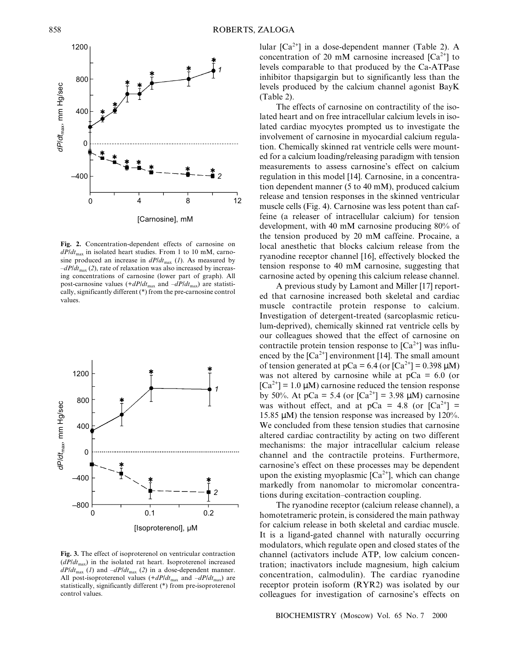$-400$ [Carnosine], mM Fig. 2. Concentration-dependent effects of carnosine on  $dP/dt_{\text{max}}$  in isolated heart studies. From 1 to 10 mM, carnosine produced an increase in  $dP/dt_{\text{max}}$  (1). As measured by  $-dP/dt_{\text{max}}$  (2), rate of relaxation was also increased by increasing concentrations of carnosine (lower part of graph). All  $\overline{2}$ 

post-carnosine values  $(+dP/dt_{\text{max}})$  and  $-dP/dt_{\text{max}})$  are statistically, significantly different (\*) from the pre-carnosine control



The effects of carnosine on contractility of the isolated heart and on free intracellular calcium levels in isolated cardiac myocytes prompted us to investigate the involvement of carnosine in myocardial calcium regulation. Chemically skinned rat ventricle cells were mounted for a calcium loading/releasing paradigm with tension measurements to assess carnosine's effect on calcium regulation in this model [14]. Carnosine, in a concentration dependent manner (5 to 40 mM), produced calcium release and tension responses in the skinned ventricular muscle cells (Fig. 4). Carnosine was less potent than caffeine (a releaser of intracellular calcium) for tension development, with 40 mM carnosine producing 80% of the tension produced by 20 mM caffeine. Procaine, a local anesthetic that blocks calcium release from the ryanodine receptor channel [16], effectively blocked the tension response to 40 mM carnosine, suggesting that carnosine acted by opening this calcium release channel.

A previous study by Lamont and Miller [17] reported that carnosine increased both skeletal and cardiac muscle contractile protein response to calcium. Investigation of detergent-treated (sarcoplasmic reticulum-deprived), chemically skinned rat ventricle cells by our colleagues showed that the effect of carnosine on contractile protein tension response to  $[Ca^{2+}]$  was influenced by the  $[Ca^{2+}]$  environment [14]. The small amount of tension generated at  $pCa = 6.4$  (or  $[Ca^{2+}] = 0.398 \mu M$ ) was not altered by carnosine while at  $pCa = 6.0$  (or  $[Ca^{2+}] = 1.0 \mu M$ ) carnosine reduced the tension response by 50%. At pCa = 5.4 (or  $[Ca^{2+}]$  = 3.98  $\mu$ M) carnosine was without effect, and at  $pCa = 4.8$  (or  $[Ca^{2+}] =$ 15.85 µM) the tension response was increased by 120%. We concluded from these tension studies that carnosine altered cardiac contractility by acting on two different mechanisms: the major intracellular calcium release channel and the contractile proteins. Furthermore, carnosine's effect on these processes may be dependent upon the existing myoplasmic  $[Ca^{2+}]$ , which can change markedly from nanomolar to micromolar concentrations during excitation-contraction coupling.

The ryanodine receptor (calcium release channel), a homotetrameric protein, is considered the main pathway for calcium release in both skeletal and cardiac muscle. It is a ligand-gated channel with naturally occurring modulators, which regulate open and closed states of the channel (activators include ATP, low calcium concentration; inactivators include magnesium, high calcium concentration, calmodulin). The cardiac ryanodine receptor protein isoform (RYR2) was isolated by our colleagues for investigation of carnosine's effects on

Fig. 3. The effect of isoproterenol on ventricular contraction  $(dP/dt<sub>max</sub>)$  in the isolated rat heart. Isoproterenol increased  $dP/dt_{\text{max}}$  (1) and  $-dP/dt_{\text{max}}$  (2) in a dose-dependent manner. All post-isoproterenol values  $(+dP/dt<sub>max</sub>)$  and  $-dP/dt<sub>max</sub>$ ) are statistically, significantly different (\*) from pre-isoproterenol control values.





values.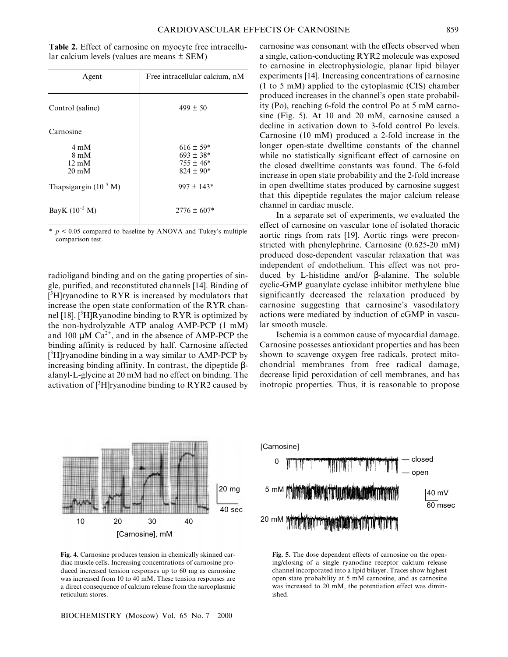Table 2. Effect of carnosine on myocyte free intracellular calcium levels (values are means ± SEM)

| Agent                                                                  | Free intracellular calcium, nM                                   |  |  |  |  |
|------------------------------------------------------------------------|------------------------------------------------------------------|--|--|--|--|
| Control (saline)                                                       | $499 \pm 50$                                                     |  |  |  |  |
| Carnosine                                                              |                                                                  |  |  |  |  |
| $4 \text{ mM}$<br>$8 \text{ mM}$<br>$12 \text{ mM}$<br>$20 \text{ mM}$ | $616 \pm 59*$<br>$693 \pm 38*$<br>$755 \pm 46*$<br>$824 \pm 90*$ |  |  |  |  |
| Thapsigargin $(10^{-5} M)$                                             | $997 \pm 143*$                                                   |  |  |  |  |
| BayK $(10^{-5} M)$                                                     | $2776 \pm 607*$                                                  |  |  |  |  |

 $p \le 0.05$  compared to baseline by ANOVA and Tukey's multiple comparison test. \*

radioligand binding and on the gating properties of single, purified, and reconstituted channels [14]. Binding of [<sup>3</sup>H]ryanodine to RYR is increased by modulators that increase the open state conformation of the RYR channel [18]. [<sup>3</sup>H]Ryanodine binding to RYR is optimized by the non-hydrolyzable ATP analog AMP-PCP (1 mM) and 100  $\mu$ M Ca<sup>2+</sup>, and in the absence of AMP-PCP the binding affinity is reduced by half. Carnosine affected [ 3 H]ryanodine binding in a way similar to AMP-PCP by increasing binding affinity. In contrast, the dipeptide βalanyl-L-glycine at 20 mM had no effect on binding. The activation of  $[{}^{3}H]$ ryanodine binding to RYR2 caused by



Fig. 4. Carnosine produces tension in chemically skinned cardiac muscle cells. Increasing concentrations of carnosine produced increased tension responses up to 60 mg as carnosine was increased from 10 to 40 mM. These tension responses are a direct consequence of calcium release from the sarcoplasmic reticulum stores.

BIOCHEMISTRY (Moscow) Vol. 65 No. 7 2000

carnosine was consonant with the effects observed when a single, cation-conducting RYR2 molecule was exposed to carnosine in electrophysiologic, planar lipid bilayer experiments [14]. Increasing concentrations of carnosine (1 to 5 mM) applied to the cytoplasmic (CIS) chamber produced increases in the channel's open state probability (Po), reaching 6-fold the control Po at 5 mM carnosine (Fig. 5). At 10 and 20 mM, carnosine caused a decline in activation down to 3-fold control Po levels. Carnosine (10 mM) produced a 2-fold increase in the longer open-state dwelltime constants of the channel while no statistically significant effect of carnosine on the closed dwelltime constants was found. The 6-fold increase in open state probability and the 2-fold increase in open dwelltime states produced by carnosine suggest that this dipeptide regulates the major calcium release channel in cardiac muscle.

In a separate set of experiments, we evaluated the effect of carnosine on vascular tone of isolated thoracic aortic rings from rats [19]. Aortic rings were preconstricted with phenylephrine. Carnosine (0.625-20 mM) produced dose-dependent vascular relaxation that was independent of endothelium. This effect was not produced by L-histidine and/or β-alanine. The soluble cyclic-GMP guanylate cyclase inhibitor methylene blue significantly decreased the relaxation produced by carnosine suggesting that carnosine's vasodilatory actions were mediated by induction of cGMP in vascular smooth muscle.

Ischemia is a common cause of myocardial damage. Carnosine possesses antioxidant properties and has been shown to scavenge oxygen free radicals, protect mitochondrial membranes from free radical damage, decrease lipid peroxidation of cell membranes, and has inotropic properties. Thus, it is reasonable to propose



Fig. 5. The dose dependent effects of carnosine on the opening/closing of a single ryanodine receptor calcium release channel incorporated into a lipid bilayer. Traces show highest open state probability at 5 mM carnosine, and as carnosine was increased to 20 mM, the potentiation effect was diminished.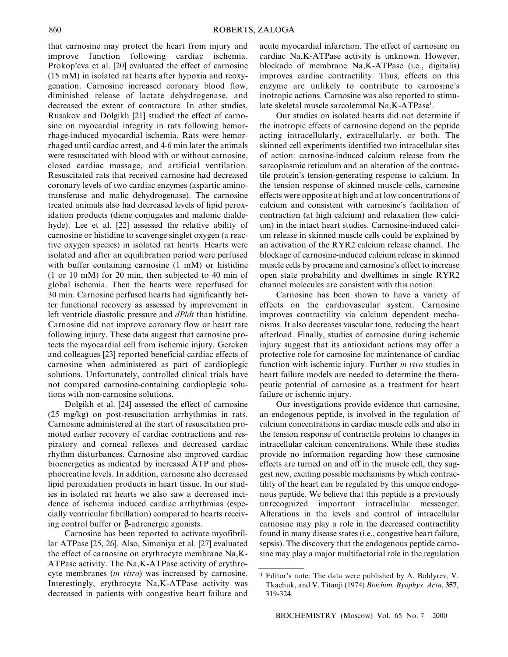that carnosine may protect the heart from injury and improve function following cardiac ischemia. Prokop'eva et al. [20] evaluated the effect of carnosine (15 mM) in isolated rat hearts after hypoxia and reoxygenation. Carnosine increased coronary blood flow, diminished release of lactate dehydrogenase, and decreased the extent of contracture. In other studies, Rusakov and Dolgikh [21] studied the effect of carnosine on myocardial integrity in rats following hemorrhage-induced myocardial ischemia. Rats were hemorrhaged until cardiac arrest, and 4-6 min later the animals were resuscitated with blood with or without carnosine, closed cardiac massage, and artificial ventilation. Resuscitated rats that received carnosine had decreased coronary levels of two cardiac enzymes (aspartic aminotransferase and malic dehydrogenase). The carnosine treated animals also had decreased levels of lipid peroxidation products (diene conjugates and malonic dialdehyde). Lee et al. [22] assessed the relative ability of carnosine or histidine to scavenge singlet oxygen (a reactive oxygen species) in isolated rat hearts. Hearts were isolated and after an equilibration period were perfused with buffer containing carnosine (1 mM) or histidine (1 or 10 mM) for 20 min, then subjected to 40 min of global ischemia. Then the hearts were reperfused for 30 min. Carnosine perfused hearts had significantly better functional recovery as assessed by improvement in left ventricle diastolic pressure and dP/dt than histidine. Carnosine did not improve coronary flow or heart rate following injury. These data suggest that carnosine protects the myocardial cell from ischemic injury. Gercken and colleagues [23] reported beneficial cardiac effects of carnosine when administered as part of cardioplegic solutions. Unfortunately, controlled clinical trials have not compared carnosine-containing cardioplegic solutions with non-carnosine solutions.

Dolgikh et al. [24] assessed the effect of carnosine (25 mg/kg) on post-resuscitation arrhythmias in rats. Carnosine administered at the start of resuscitation promoted earlier recovery of cardiac contractions and respiratory and corneal reflexes and decreased cardiac rhythm disturbances. Carnosine also improved cardiac bioenergetics as indicated by increased ATP and phosphocreatine levels. In addition, carnosine also decreased lipid peroxidation products in heart tissue. In our studies in isolated rat hearts we also saw a decreased incidence of ischemia induced cardiac arrhythmias (especially ventricular fibrillation) compared to hearts receiving control buffer or β-adrenergic agonists.

Carnosine has been reported to activate myofibrillar ATPase [25, 26]. Also, Simoniya et al. [27] evaluated the effect of carnosine on erythrocyte membrane Na,K-ATPase activity. The Na,K-ATPase activity of erythrocyte membranes (in vitro) was increased by carnosine. Interestingly, erythrocyte Na,K-ATPase activity was decreased in patients with congestive heart failure and acute myocardial infarction. The effect of carnosine on cardiac Na,K-ATPase activity is unknown. However, blockade of membrane Na,K-ATPase (i.e., digitalis) improves cardiac contractility. Thus, effects on this enzyme are unlikely to contribute to carnosine's inotropic actions. Carnosine was also reported to stimulate skeletal muscle sarcolemmal Na,K-ATPase<sup>1</sup>.

Our studies on isolated hearts did not determine if the inotropic effects of carnosine depend on the peptide acting intracellularly, extracellularly, or both. The skinned cell experiments identified two intracellular sites of action: carnosine-induced calcium release from the sarcoplasmic reticulum and an alteration of the contractile protein's tension-generating response to calcium. In the tension response of skinned muscle cells, carnosine effects were opposite at high and at low concentrations of calcium and consistent with carnosine's facilitation of contraction (at high calcium) and relaxation (low calcium) in the intact heart studies. Carnosine-induced calcium release in skinned muscle cells could be explained by an activation of the RYR2 calcium release channel. The blockage of carnosine-induced calcium release in skinned muscle cells by procaine and carnosine's effect to increase open state probability and dwelltimes in single RYR2 channel molecules are consistent with this notion.

Carnosine has been shown to have a variety of effects on the cardiovascular system. Carnosine improves contractility via calcium dependent mechanisms. It also decreases vascular tone, reducing the heart afterload. Finally, studies of carnosine during ischemic injury suggest that its antioxidant actions may offer a protective role for carnosine for maintenance of cardiac function with ischemic injury. Further in vivo studies in heart failure models are needed to determine the therapeutic potential of carnosine as a treatment for heart failure or ischemic injury.

Our investigations provide evidence that carnosine, an endogenous peptide, is involved in the regulation of calcium concentrations in cardiac muscle cells and also in the tension response of contractile proteins to changes in intracellular calcium concentrations. While these studies provide no information regarding how these carnosine effects are turned on and off in the muscle cell, they suggest new, exciting possible mechanisms by which contractility of the heart can be regulated by this unique endogenous peptide. We believe that this peptide is a previously unrecognized important intracellular messenger. Alterations in the levels and control of intracellular carnosine may play a role in the decreased contractility found in many disease states (i.e., congestive heart failure, sepsis). The discovery that the endogenous peptide carnosine may play a major multifactorial role in the regulation

 $<sup>1</sup>$  Editor's note: The data were published by A. Boldyrev, V.</sup> Tkachuk, and V. Titanji (1974) Biochim. Byophys. Acta, 357, 319-324.